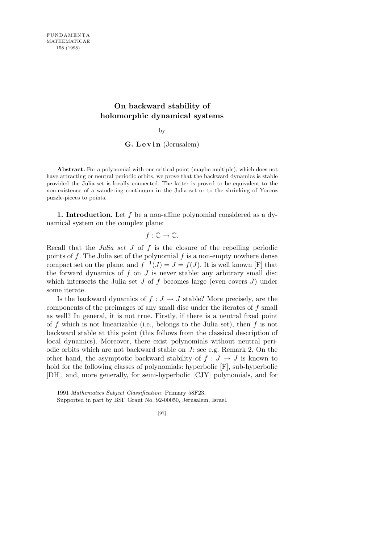# **On backward stability of holomorphic dynamical systems**

by

### **G. L e v i n** (Jerusalem)

**Abstract.** For a polynomial with one critical point (maybe multiple), which does not have attracting or neutral periodic orbits, we prove that the backward dynamics is stable provided the Julia set is locally connected. The latter is proved to be equivalent to the non-existence of a wandering continuum in the Julia set or to the shrinking of Yoccoz puzzle-pieces to points.

**1. Introduction.** Let *f* be a non-affine polynomial considered as a dynamical system on the complex plane:

## $f: \mathbb{C} \to \mathbb{C}$ .

Recall that the *Julia set J* of *f* is the closure of the repelling periodic points of *f*. The Julia set of the polynomial *f* is a non-empty nowhere dense compact set on the plane, and  $f^{-1}(J) = J = f(J)$ . It is well known [F] that the forward dynamics of  $f$  on  $J$  is never stable: any arbitrary small disc which intersects the Julia set *J* of *f* becomes large (even covers *J*) under some iterate.

Is the backward dynamics of  $f : J \to J$  stable? More precisely, are the components of the preimages of any small disc under the iterates of *f* small as well? In general, it is not true. Firstly, if there is a neutral fixed point of *f* which is not linearizable (i.e., belongs to the Julia set), then *f* is not backward stable at this point (this follows from the classical description of local dynamics). Moreover, there exist polynomials without neutral periodic orbits which are not backward stable on *J*: see e.g. Remark 2. On the other hand, the asymptotic backward stability of  $f : J \to J$  is known to hold for the following classes of polynomials: hyperbolic [F], sub-hyperbolic [DH], and, more generally, for semi-hyperbolic [CJY] polynomials, and for

<sup>1991</sup> *Mathematics Subject Classification*: Primary 58F23.

Supported in part by BSF Grant No. 92-00050, Jerusalem, Israel.

<sup>[97]</sup>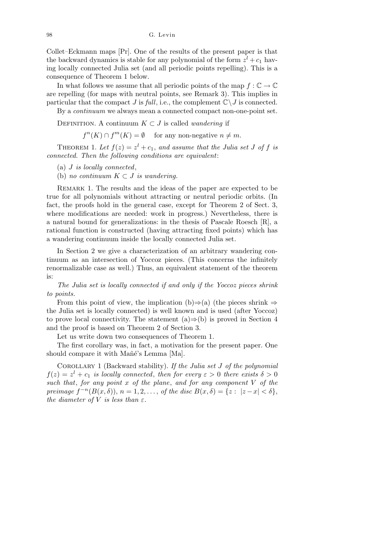98 G. Levin

Collet–Eckmann maps [Pr]. One of the results of the present paper is that the backward dynamics is stable for any polynomial of the form  $z^{l} + c_{1}$  having locally connected Julia set (and all periodic points repelling). This is a consequence of Theorem 1 below.

In what follows we assume that all periodic points of the map  $f : \mathbb{C} \to \mathbb{C}$ are repelling (for maps with neutral points, see Remark 3). This implies in particular that the compact *J* is *full*, i.e., the complement  $\mathbb{C}\setminus J$  is connected.

By a *continuum* we always mean a connected compact non-one-point set.

DEFINITION. A continuum  $K \subset J$  is called *wandering* if

 $f^{n}(K) \cap f^{m}(K) = \emptyset$  for any non-negative  $n \neq m$ .

THEOREM 1. Let  $f(z) = z^l + c_1$ , and assume that the Julia set J of f is *connected. Then the following conditions are equivalent*:

- (a) *J is locally connected*,
- (b) *no continuum*  $K \subset J$  *is wandering.*

Remark 1. The results and the ideas of the paper are expected to be true for all polynomials without attracting or neutral periodic orbits. (In fact, the proofs hold in the general case, except for Theorem 2 of Sect. 3, where modifications are needed: work in progress.) Nevertheless, there is a natural bound for generalizations: in the thesis of Pascale Roesch [R], a rational function is constructed (having attracting fixed points) which has a wandering continuum inside the locally connected Julia set.

In Section 2 we give a characterization of an arbitrary wandering continuum as an intersection of Yoccoz pieces. (This concerns the infinitely renormalizable case as well.) Thus, an equivalent statement of the theorem is:

*The Julia set is locally connected if and only if the Yoccoz pieces shrink to points.*

From this point of view, the implication (b)*⇒*(a) (the pieces shrink *⇒* the Julia set is locally connected) is well known and is used (after Yoccoz) to prove local connectivity. The statement (a)*⇒*(b) is proved in Section 4 and the proof is based on Theorem 2 of Section 3.

Let us write down two consequences of Theorem 1.

The first corollary was, in fact, a motivation for the present paper. One should compare it with Mañé's Lemma [Ma].

Corollary 1 (Backward stability). *If the Julia set J of the polynomial*  $f(z) = z<sup>l</sup> + c<sub>1</sub>$  *is locally connected, then for every*  $\varepsilon > 0$  *there exists*  $\delta > 0$ *such that*, *for any point x of the plane*, *and for any component V of the* preimage  $f^{-n}(B(x, \delta)), n = 1, 2, ...,$  of the disc  $B(x, \delta) = \{z : |z - x| < \delta\},\$ *the diameter of*  $V$  *is less than*  $\varepsilon$ *.*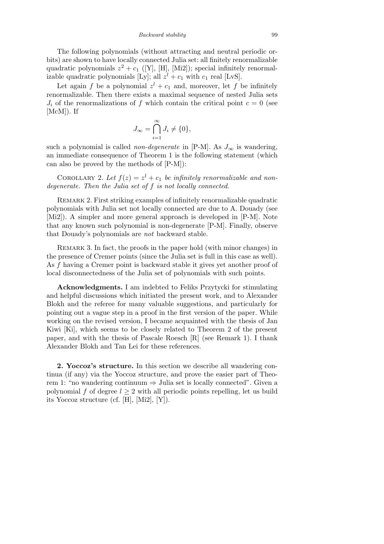The following polynomials (without attracting and neutral periodic orbits) are shown to have locally connected Julia set: all finitely renormalizable quadratic polynomials  $z^2 + c_1$  ([Y], [H], [Mi2]); special infinitely renormalizable quadratic polynomials [Ly]; all  $z^{l} + c_{1}$  with  $c_{1}$  real [LvS].

Let again *f* be a polynomial  $z^l + c_1$  and, moreover, let *f* be infinitely renormalizable. Then there exists a maximal sequence of nested Julia sets  $J_i$  of the renormalizations of  $f$  which contain the critical point  $c = 0$  (see [McM]). If

$$
J_{\infty} = \bigcap_{i=1}^{\infty} J_i \neq \{0\},\,
$$

such a polynomial is called *non-degenerate* in [P-M]. As  $J_{\infty}$  is wandering, an immediate consequence of Theorem 1 is the following statement (which can also be proved by the methods of [P-M]):

COROLLARY 2. Let  $f(z) = z^l + c_1$  be infinitely renormalizable and non*degenerate. Then the Julia set of f is not locally connected.*

REMARK 2. First striking examples of infinitely renormalizable quadratic polynomials with Julia set not locally connected are due to A. Douady (see [Mi2]). A simpler and more general approach is developed in [P-M]. Note that any known such polynomial is non-degenerate [P-M]. Finally, observe that Douady's polynomials are *not* backward stable.

REMARK 3. In fact, the proofs in the paper hold (with minor changes) in the presence of Cremer points (since the Julia set is full in this case as well). As *f* having a Cremer point is backward stable it gives yet another proof of local disconnectedness of the Julia set of polynomials with such points.

**Acknowledgments.** I am indebted to Feliks Przytycki for stimulating and helpful discussions which initiated the present work, and to Alexander Blokh and the referee for many valuable suggestions, and particularly for pointing out a vague step in a proof in the first version of the paper. While working on the revised version, I became acquainted with the thesis of Jan Kiwi [Ki], which seems to be closely related to Theorem 2 of the present paper, and with the thesis of Pascale Roesch [R] (see Remark 1). I thank Alexander Blokh and Tan Lei for these references.

**2. Yoccoz's structure.** In this section we describe all wandering continua (if any) via the Yoccoz structure, and prove the easier part of Theorem 1: "no wandering continuum *⇒* Julia set is locally connected". Given a polynomial *f* of degree  $l \geq 2$  with all periodic points repelling, let us build its Yoccoz structure (cf. [H], [Mi2], [Y]).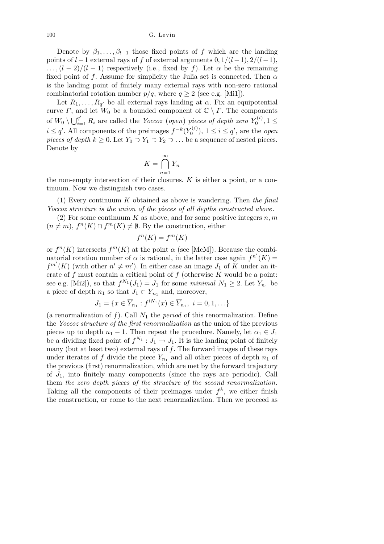100 G. Levin

Denote by  $\beta_1, \ldots, \beta_{l-1}$  those fixed points of *f* which are the landing points of  $l-1$  external rays of  $f$  of external arguments  $0, 1/(l-1), 2/(l-1)$ ,  $\ldots$ ,  $(l-2)/(l-1)$  respectively (i.e., fixed by *f*). Let  $\alpha$  be the remaining fixed point of *f*. Assume for simplicity the Julia set is connected. Then  $\alpha$ is the landing point of finitely many external rays with non-zero rational combinatorial rotation number  $p/q$ , where  $q \ge 2$  (see e.g. [Mi1]).

Let  $R_1, \ldots, R_{q'}$  be all external rays landing at  $\alpha$ . Fix an equipotential curve *Γ*, and let  $W_0$  be a bounded component of  $\mathbb{C} \setminus \mathbb{C}$ . The components of  $W_0 \setminus \bigcup_{i=1}^{q'} R_i$  are called the *Yoccoz* (*open*) *pieces of depth zero*  $Y_0^{(i)}$  $a_0^{\tau(i)}$ ,  $1 \leq$ *i* ≤ *q*'. All components of the preimages  $f^{-k}(Y_0^{(i)})$  $\sigma_0^{(i)}$ ,  $1 \leq i \leq q'$ , are the *open pieces of depth*  $k \geq 0$ . Let  $Y_0 \supset Y_1 \supset Y_2 \supset \ldots$  be a sequence of nested pieces. Denote by

$$
K = \bigcap_{n=1}^{\infty} \overline{Y}_n
$$

the non-empty intersection of their closures. *K* is either a point, or a continuum. Now we distinguish two cases.

(1) Every continuum *K* obtained as above is wandering. Then *the final Yoccoz structure is the union of the pieces of all depths constructed above*.

(2) For some continuum *K* as above, and for some positive integers *n, m*  $(n \neq m)$ ,  $f^{n}(K) \cap f^{m}(K) \neq \emptyset$ . By the construction, either

$$
f^n(K) = f^m(K)
$$

or  $f^{n}(K)$  intersects  $f^{m}(K)$  at the point  $\alpha$  (see [McM]). Because the combinatorial rotation number of  $\alpha$  is rational, in the latter case again  $f^{n'}(K)$  =  $f^{m'}(K)$  (with other  $n' \neq m'$ ). In either case an image  $J_1$  of  $\tilde{K}$  under an iterate of *f* must contain a critical point of *f* (otherwise *K* would be a point: see e.g. [Mi2]), so that  $f^{N_1}(J_1) = J_1$  for some *minimal*  $N_1 \geq 2$ . Let  $Y_{n_1}$  be a piece of depth  $n_1$  so that  $J_1 \subset \overline{Y}_{n_1}$  and, moreover,

$$
J_1 = \{ x \in \overline{Y}_{n_1} : f^{iN_1}(x) \in \overline{Y}_{n_1}, i = 0, 1, \ldots \}
$$

(a renormalization of  $f$ ). Call  $N_1$  the *period* of this renormalization. Define the *Yoccoz structure of the first renormalization* as the union of the previous pieces up to depth  $n_1 - 1$ . Then repeat the procedure. Namely, let  $\alpha_1 \in J_1$ be a dividing fixed point of  $f^{N_1}: J_1 \to J_1$ . It is the landing point of finitely many (but at least two) external rays of *f*. The forward images of these rays under iterates of  $f$  divide the piece  $Y_{n_1}$  and all other pieces of depth  $n_1$  of the previous (first) renormalization, which are met by the forward trajectory of *J*1, into finitely many components (since the rays are periodic). Call them *the zero depth pieces of the structure of the second renormalization*. Taking all the components of their preimages under  $f^k$ , we either finish the construction, or come to the next renormalization. Then we proceed as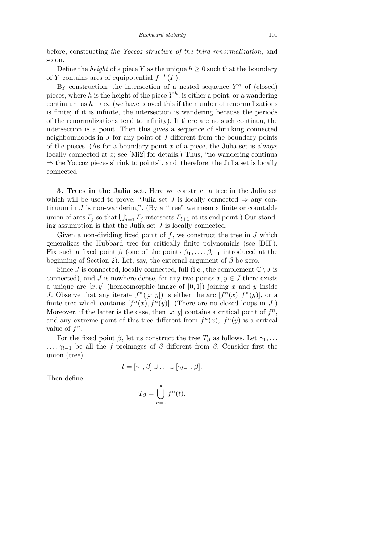before, constructing *the Yoccoz structure of the third renormalization*, and so on.

Define the *height* of a piece *Y* as the unique  $h \geq 0$  such that the boundary of *Y* contains arcs of equipotential  $f^{-h}(\Gamma)$ .

By construction, the intersection of a nested sequence  $Y^h$  of (closed) pieces, where *h* is the height of the piece  $Y^h$ , is either a point, or a wandering continuum as  $h \to \infty$  (we have proved this if the number of renormalizations is finite; if it is infinite, the intersection is wandering because the periods of the renormalizations tend to infinity). If there are no such continua, the intersection is a point. Then this gives a sequence of shrinking connected neighbourhoods in *J* for any point of *J* different from the boundary points of the pieces. (As for a boundary point *x* of a piece, the Julia set is always locally connected at *x*; see [Mi2] for details.) Thus, "no wandering continua *⇒* the Yoccoz pieces shrink to points", and, therefore, the Julia set is locally connected.

**3. Trees in the Julia set.** Here we construct a tree in the Julia set which will be used to prove: "Julia set *J* is locally connected  $\Rightarrow$  any continuum in  $J$  is non-wandering". (By a "tree" we mean a finite or countable union of arcs  $\Gamma_j$  so that  $\bigcup_{j=1}^i \Gamma_j$  intersects  $\Gamma_{i+1}$  at its end point.) Our standing assumption is that the Julia set *J* is locally connected.

Given a non-dividing fixed point of *f*, we construct the tree in *J* which generalizes the Hubbard tree for critically finite polynomials (see [DH]). Fix such a fixed point  $\beta$  (one of the points  $\beta_1, \ldots, \beta_{l-1}$  introduced at the beginning of Section 2). Let, say, the external argument of *β* be zero.

Since *J* is connected, locally connected, full (i.e., the complement  $\mathbb{C}\setminus J$  is connected), and *J* is nowhere dense, for any two points  $x, y \in J$  there exists a unique arc  $[x, y]$  (homeomorphic image of  $[0, 1]$ ) joining x and y inside *J*. Observe that any iterate  $f^{n}([x, y])$  is either the arc  $[f^{n}(x), f^{n}(y)]$ , or a finite tree which contains  $[f<sup>n</sup>(x), f<sup>n</sup>(y)]$ . (There are no closed loops in *J*.) Moreover, if the latter is the case, then  $[x, y]$  contains a critical point of  $f^n$ , and any extreme point of this tree different from  $f^{n}(x)$ ,  $f^{n}(y)$  is a critical value of  $f^n$ .

For the fixed point  $\beta$ , let us construct the tree  $T_{\beta}$  as follows. Let  $\gamma_1, \ldots$ *...,γ*<sub>*l*</sub><sub>−1</sub> be all the *f*-preimages of *β* different from *β*. Consider first the union (tree)

 $t = [\gamma_1, \beta] \cup \ldots \cup [\gamma_{l-1}, \beta].$ 

Then define

$$
T_{\beta} = \bigcup_{n=0}^{\infty} f^n(t).
$$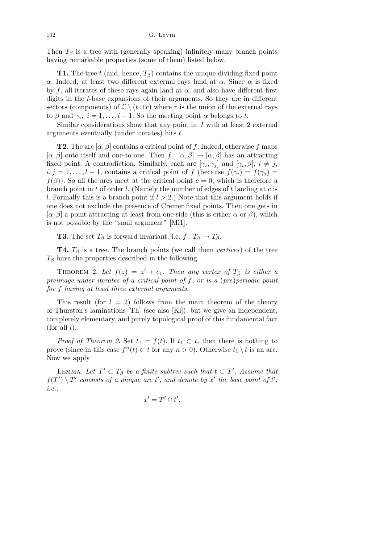Then  $T_\beta$  is a tree with (generally speaking) infinitely many branch points having remarkable properties (some of them) listed below.

**T1.** The tree *t* (and, hence,  $T_\beta$ ) contains the unique dividing fixed point *α*. Indeed, at least two different external rays land at *α*. Since *α* is fixed by f, all iterates of these rays again land at  $\alpha$ , and also have different first digits in the *l*-base expansions of their arguments. So they are in different sectors (components) of  $\mathbb{C} \setminus (t \cup r)$  where r is the union of the external rays to  $\beta$  and  $\gamma_i$ ,  $i = 1, \ldots, l - 1$ . So the meeting point  $\alpha$  belongs to *t*.

Similar considerations show that any point in *J* with at least 2 external arguments eventually (under iterates) hits *t*.

**T2.** The arc  $[\alpha, \beta]$  contains a critical point of *f*. Indeed, otherwise *f* maps  $[\alpha, \beta]$  onto itself and one-to-one. Then  $f : [\alpha, \beta] \to [\alpha, \beta]$  has an attracting fixed point. A contradiction. Similarly, each arc  $[\gamma_i, \gamma_j]$  and  $[\gamma_i, \beta]$ ,  $i \neq j$ ,  $i, j = 1, \ldots, l - 1$ , contains a critical point of *f* (because  $f(\gamma_i) = f(\gamma_j) =$  $f(\beta)$ ). So all the arcs meet at the critical point  $c = 0$ , which is therefore a branch point in *t* of order *l*. (Namely the number of edges of *t* landing at *c* is *l*. Formally this is a branch point if *l >* 2.) Note that this argument holds if one does not exclude the presence of Cremer fixed points. Then one gets in  $[\alpha, \beta]$  a point attracting at least from one side (this is either  $\alpha$  or  $\beta$ ), which is not possible by the "snail argument" [Mi1].

**T3.** The set  $T_\beta$  is forward invariant, i.e.  $f: T_\beta \to T_\beta$ .

**T4.**  $T_\beta$  is a tree. The branch points (we call them *vertices*) of the tree *T<sup>β</sup>* have the properties described in the following

THEOREM 2. Let  $f(z) = z^l + c_1$ . Then any vertex of  $T_\beta$  is either a *preimage under iterates of a critical point of f*, *or is a* (*pre*)*periodic point for f having at least three external arguments.*

This result (for  $l = 2$ ) follows from the main theorem of the theory of Thurston's laminations [Th] (see also [Ki]), but we give an independent, completely elementary, and purely topological proof of this fundamental fact (for all *l*).

*Proof of Theorem 2.* Set  $t_1 = f(t)$ . If  $t_1 \subset t$ , then there is nothing to prove (since in this case  $f^{n}(t) \subset t$  for any  $n > 0$ ). Otherwise  $t_1 \setminus t$  is an arc. Now we apply

LEMMA. Let  $T' \subset T_\beta$  be a finite subtree such that  $t \subset T'$ . Assume that  $f(T') \setminus T'$  consists of a unique arc *t*<sup> $\prime$ </sup>, and denote by *x*<sup> $\prime$ </sup> the base point of *t*<sup> $\prime$ </sup>, *i.e.*,

$$
x'=T'\cap \overline{t'}
$$

*.*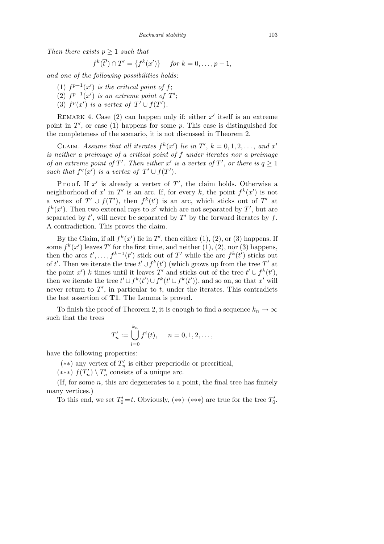*Then there exists*  $p \geq 1$  *such that* 

 $f^k(\overline{t'}) \cap T' = \{ f^k(x') \}$  *for*  $k = 0, \ldots, p-1$ ,

*and one of the following possibilities holds*:

- (1)  $f^{p-1}(x')$  *is the critical point of f*;
- (2)  $f^{p-1}(x')$  *is an extreme point of*  $T'$ ;
- (3)  $f^p(x')$  *is a vertex of*  $T' \cup f(T')$ *.*

REMARK 4. Case  $(2)$  can happen only if: either  $x'$  itself is an extreme point in  $T'$ , or case (1) happens for some  $p$ . This case is distinguished for the completeness of the scenario, it is not discussed in Theorem 2.

CLAIM. Assume that all iterates  $f^k(x')$  lie in  $T'$ ,  $k = 0, 1, 2, \ldots$ , and  $x'$ *is neither a preimage of a critical point of f under iterates nor a preimage of an extreme point of*  $T'$ *. Then either*  $x'$  *is a vertex of*  $T'$ *, or there is*  $q \ge 1$ *such that*  $f^q(x')$  *is a vertex of*  $T' \cup f(T')$ *.* 

Proof. If  $x'$  is already a vertex of  $T'$ , the claim holds. Otherwise a neighborhood of  $x'$  in  $T'$  is an arc. If, for every k, the point  $f^k(x')$  is not a vertex of  $T' \cup f(T')$ , then  $f^k(t')$  is an arc, which sticks out of  $T'$  at  $f^k(x')$ . Then two external rays to *x*<sup>'</sup> which are not separated by *T*<sup>'</sup>, but are separated by  $t'$ , will never be separated by  $T'$  by the forward iterates by  $f$ . A contradiction. This proves the claim.

By the Claim, if all  $f^k(x')$  lie in  $T'$ , then either (1), (2), or (3) happens. If some  $f^k(x')$  leaves  $T'$  for the first time, and neither  $(1), (2)$ , nor  $(3)$  happens, then the arcs  $t'$ , ...,  $f^{k-1}(t')$  stick out of  $T'$  while the arc  $f^k(t')$  sticks out of *t'*. Then we iterate the tree  $t' \cup f^k(t')$  (which grows up from the tree  $T'$  at the point *x*<sup>*'*</sup>) *k* times until it leaves *T*<sup>*'*</sup> and sticks out of the tree  $t' \cup f^k(t')$ , then we iterate the tree  $t' \cup f^k(t') \cup f^k(t' \cup f^k(t'))$ , and so on, so that *x'* will never return to  $T'$ , in particular to  $t$ , under the iterates. This contradicts the last assertion of **T1**. The Lemma is proved.

To finish the proof of Theorem 2, it is enough to find a sequence  $k_n \to \infty$ such that the trees

$$
T'_n := \bigcup_{i=0}^{k_n} f^i(t), \quad n = 0, 1, 2, \dots,
$$

have the following properties:

 $(**)$  any vertex of  $T'_n$  is either preperiodic or precritical,

 $(***)$   $f(T'_n) \setminus T'_n$  consists of a unique arc.

(If, for some *n*, this arc degenerates to a point, the final tree has finitely many vertices.)

To this end, we set  $T'_0 = t$ . Obviously,  $(**)$ – $(***)$  are true for the tree  $T'_0$ .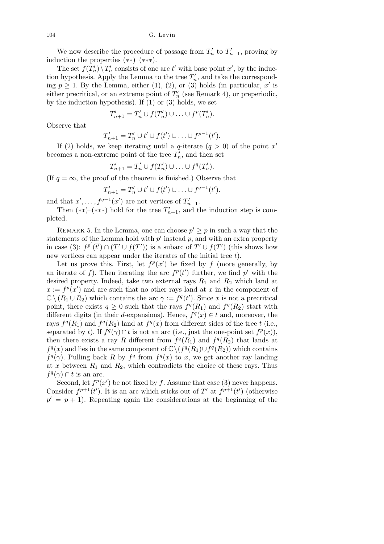104 G. Levin

We now describe the procedure of passage from  $T'_{n}$  to  $T'_{n+1}$ , proving by induction the properties (*∗∗*)–(*∗∗∗*).

The set  $f(T'_n) \setminus T'_n$  consists of one arc  $t'$  with base point  $x'$ , by the induction hypothesis. Apply the Lemma to the tree  $T_n'$ , and take the corresponding  $p \geq 1$ . By the Lemma, either (1), (2), or (3) holds (in particular,  $x'$  is either precritical, or an extreme point of  $T'_{n}$  (see Remark 4), or preperiodic, by the induction hypothesis). If  $(1)$  or  $(3)$  holds, we set

$$
T'_{n+1} = T'_n \cup f(T'_n) \cup \ldots \cup f^p(T'_n).
$$

Observe that

$$
T'_{n+1} = T'_{n} \cup t' \cup f(t') \cup \ldots \cup f^{p-1}(t').
$$

If (2) holds, we keep iterating until a *q*-iterate  $(q > 0)$  of the point *x'* becomes a non-extreme point of the tree  $T_n'$ , and then set

$$
T'_{n+1} = T'_{n} \cup f(T'_{n}) \cup \ldots \cup f^{q}(T'_{n}).
$$

(If  $q = \infty$ , the proof of the theorem is finished.) Observe that

$$
T'_{n+1} = T'_{n} \cup t' \cup f(t') \cup \ldots \cup f^{q-1}(t').
$$

and that  $x'$ , ...,  $f^{q-1}(x')$  are not vertices of  $T'_{n+1}$ .

Then  $(**)-(***)$  hold for the tree  $T'_{n+1}$ , and the induction step is completed.

REMARK 5. In the Lemma, one can choose  $p' \geq p$  in such a way that the statements of the Lemma hold with  $p'$  instead  $p$ , and with an extra property in case (3):  $f^{p'}(\overline{t'}) \cap (T' \cup f(T'))$  is a subarc of  $T' \cup f(T')$  (this shows how new vertices can appear under the iterates of the initial tree *t*).

Let us prove this. First, let  $f^p(x')$  be fixed by  $f$  (more generally, by an iterate of f). Then iterating the arc  $f^p(t')$  further, we find p' with the desired property. Indeed, take two external rays  $R_1$  and  $R_2$  which land at  $x := f<sup>p</sup>(x')$  and are such that no other rays land at *x* in the component of  $\mathbb{C} \setminus (R_1 \cup R_2)$  which contains the arc  $\gamma := f^q(t')$ . Since *x* is not a precritical point, there exists  $q \geq 0$  such that the rays  $f^q(R_1)$  and  $f^q(R_2)$  start with different digits (in their *d*-expansions). Hence,  $f^q(x) \in t$  and, moreover, the rays  $f^q(R_1)$  and  $f^q(R_2)$  land at  $f^q(x)$  from different sides of the tree *t* (i.e., separated by *t*). If  $f^q(\gamma) \cap t$  is not an arc (i.e., just the one-point set  $f^p(x)$ ), then there exists a ray *R* different from  $f^q(R_1)$  and  $f^q(R_2)$  that lands at *f*<sup>q</sup>(*x*) and lies in the same component of  $\mathbb{C}\setminus (f^q(R_1) \cup f^q(R_2))$  which contains  $f^q(\gamma)$ . Pulling back *R* by  $f^q$  from  $f^q(x)$  to *x*, we get another ray landing at *x* between  $R_1$  and  $R_2$ , which contradicts the choice of these rays. Thus  $f^q(\gamma) \cap t$  is an arc.

Second, let  $f^p(x')$  be not fixed by f. Assume that case (3) never happens. Consider  $f^{p+1}(t')$ . It is an arc which sticks out of  $T'$  at  $f^{p+1}(t')$  (otherwise  $p' = p + 1$ . Repeating again the considerations at the beginning of the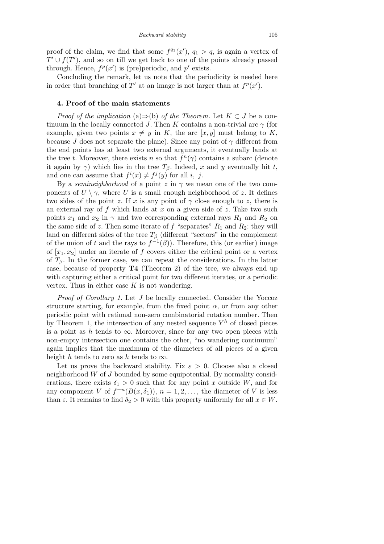proof of the claim, we find that some  $f^{q_1}(x')$ ,  $q_1 > q$ , is again a vertex of  $T' \cup f(T')$ , and so on till we get back to one of the points already passed through. Hence,  $f^p(x')$  is (pre)periodic, and  $p'$  exists.

Concluding the remark, let us note that the periodicity is needed here in order that branching of  $T'$  at an image is not larger than at  $f^p(x')$ .

## **4. Proof of the main statements**

*Proof of the implication* (a) $\Rightarrow$ (b) *of the Theorem.* Let  $K \subset J$  be a continuum in the locally connected *J*. Then *K* contains a non-trivial arc  $\gamma$  (for example, given two points  $x \neq y$  in *K*, the arc  $[x, y]$  must belong to *K*, because *J* does not separate the plane). Since any point of  $\gamma$  different from the end points has at least two external arguments, it eventually lands at the tree *t*. Moreover, there exists *n* so that  $f^{n}(\gamma)$  contains a subarc (denote it again by  $\gamma$ ) which lies in the tree  $T_\beta$ . Indeed, x and y eventually hit t, and one can assume that  $f^i(x) \neq f^j(y)$  for all *i*, *j*.

By a *semineighborhood* of a point  $z$  in  $\gamma$  we mean one of the two components of  $U \setminus \gamma$ , where U is a small enough neighborhood of *z*. It defines two sides of the point *z*. If *x* is any point of  $\gamma$  close enough to *z*, there is an external ray of *f* which lands at *x* on a given side of *z*. Take two such points  $x_1$  and  $x_2$  in  $\gamma$  and two corresponding external rays  $R_1$  and  $R_2$  on the same side of *z*. Then some iterate of *f* "separates"  $R_1$  and  $R_2$ : they will land on different sides of the tree  $T_\beta$  (different "sectors" in the complement of the union of *t* and the rays to  $f^{-1}(\beta)$ ). Therefore, this (or earlier) image of  $[x_1, x_2]$  under an iterate of f covers either the critical point or a vertex of  $T_\beta$ . In the former case, we can repeat the considerations. In the latter case, because of property **T4** (Theorem 2) of the tree, we always end up with capturing either a critical point for two different iterates, or a periodic vertex. Thus in either case *K* is not wandering.

*Proof of Corollary 1.* Let *J* be locally connected. Consider the Yoccoz structure starting, for example, from the fixed point  $\alpha$ , or from any other periodic point with rational non-zero combinatorial rotation number. Then by Theorem 1, the intersection of any nested sequence  $Y^h$  of closed pieces is a point as *h* tends to  $\infty$ . Moreover, since for any two open pieces with non-empty intersection one contains the other, "no wandering continuum" again implies that the maximum of the diameters of all pieces of a given height *h* tends to zero as *h* tends to  $\infty$ .

Let us prove the backward stability. Fix  $\varepsilon > 0$ . Choose also a closed neighborhood *W* of *J* bounded by some equipotential. By normality considerations, there exists  $\delta_1 > 0$  such that for any point *x* outside *W*, and for any component *V* of  $f^{-n}(B(x, \delta_1))$ ,  $n = 1, 2, \ldots$ , the diameter of *V* is less than  $\varepsilon$ . It remains to find  $\delta_2 > 0$  with this property uniformly for all  $x \in W$ .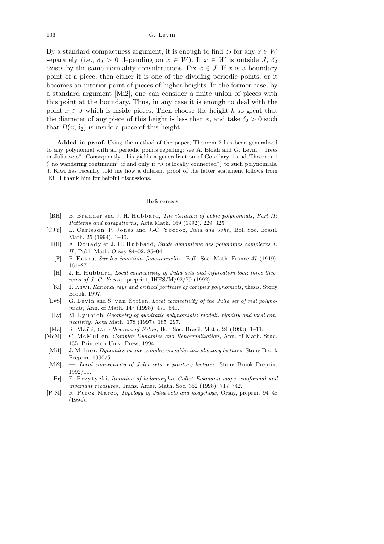By a standard compactness argument, it is enough to find  $\delta_2$  for any  $x \in W$ separately (i.e.,  $\delta_2 > 0$  depending on  $x \in W$ ). If  $x \in W$  is outside *J*,  $\delta_2$ exists by the same normality considerations. Fix  $x \in J$ . If x is a boundary point of a piece, then either it is one of the dividing periodic points, or it becomes an interior point of pieces of higher heights. In the former case, by a standard argument [Mi2], one can consider a finite union of pieces with this point at the boundary. Thus, in any case it is enough to deal with the point  $x \in J$  which is inside pieces. Then choose the height *h* so great that the diameter of any piece of this height is less than  $\varepsilon$ , and take  $\delta_2 > 0$  such that  $B(x, \delta_2)$  is inside a piece of this height.

**Added in proof.** Using the method of the paper, Theorem 2 has been generalized to any polynomial with all periodic points repelling; see A. Blokh and G. Levin, "Trees in Julia sets". Consequently, this yields a generalization of Corollary 1 and Theorem 1 ("no wandering continuum" if and only if "*J* is locally connected") to such polynomials. J. Kiwi has recently told me how a different proof of the latter statement follows from [Ki]. I thank him for helpful discussions.

#### **References**

- [BH] B. Branner and J. H. Hubbard, *The iteration of cubic polynomials*, *Part II*: *Patterns and parapatterns*, Acta Math. 169 (1992), 229–325.
- [CJY] L. Carleson, P. Jones and J.-C. Yoccoz, *Julia and John*, Bol. Soc. Brasil. Math. 25 (1994), 1–30.
- [DH] A. Douady et J. H. Hubbard, *Etude dynamique des polynômes complexes I*, *II*, Publ. Math. Orsay 84–02, 85–04.
- [F] P. F a t o u, *Sur les ´equations fonctionnelles*, Bull. Soc. Math. France 47 (1919), 161–271.
- [H] J. H. Hubbard, *Local connectivity of Julia sets and bifurcation loci: three theorems of J.-C. Yoccoz* , preprint, IHES/M/92/79 (1992).
- [Ki] J. Kiwi, *Rational rays and critical portraits of complex polynomials*, thesis, Stony Brook, 1997.
- [LvS] G. Levin and S. van Strien, *Local connectivity of the Julia set of real polynomials*, Ann. of Math. 147 (1998), 471–541.
- [Ly] M. Lyubich, *Geometry of quadratic polynomials: moduli, rigidity and local connectivity*, Acta Math. 178 (1997), 185–297.
- [Ma] R. Mañé, *On a theorem of Fatou*, Bol. Soc. Brasil. Math. 24 (1993), 1–11.
- [McM] C. McMullen, *Complex Dynamics and Renormalization*, Ann. of Math. Stud. 135, Princeton Univ. Press, 1994.
- [Mi1] J. Milnor, *Dynamics in one complex variable: introductory lectures*, Stony Brook Preprint 1990/5.
- [Mi2] —, *Local connectivity of Julia sets*: *expository lectures*, Stony Brook Preprint 1992/11.
- [Pr] F. P r z y t y c ki, *Iteration of holomorphic Collet–Eckmann maps*: *conformal and invariant measures*, Trans. Amer. Math. Soc. 352 (1998), 717–742.
- [P-M] R. Pérez-Marco, *Topology of Julia sets and hedgehogs*, Orsay, preprint 94–48 (1994).